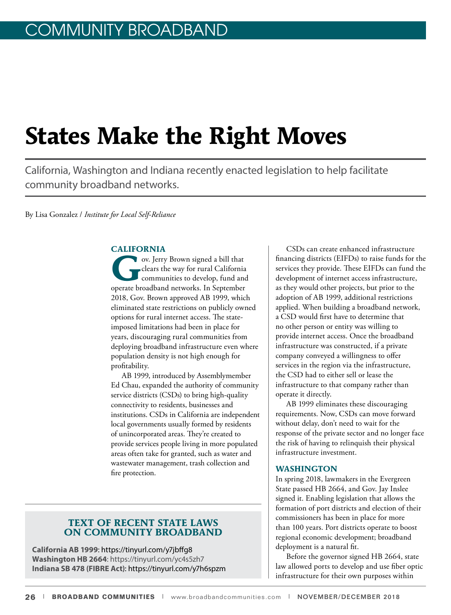# **States Make the Right Moves**

California, Washington and Indiana recently enacted legislation to help facilitate community broadband networks.

By Lisa Gonzalez / *Institute for Local Self-Reliance*

## **CALIFORNIA**

ov. Jerry Brown signed a bill that<br>clears the way for rural California<br>communities to develop, fund an clears the way for rural California communities to develop, fund and operate broadband networks. In September 2018, Gov. Brown approved AB 1999, which eliminated state restrictions on publicly owned options for rural internet access. The stateimposed limitations had been in place for years, discouraging rural communities from deploying broadband infrastructure even where population density is not high enough for profitability.

AB 1999, introduced by Assemblymember Ed Chau, expanded the authority of community service districts (CSDs) to bring high-quality connectivity to residents, businesses and institutions. CSDs in California are independent local governments usually formed by residents of unincorporated areas. They're created to provide services people living in more populated areas often take for granted, such as water and wastewater management, trash collection and fire protection.

## **TEXT OF RECENT STATE LAWS ON COMMUNITY BROADBAND**

**California AB 1999**: https://tinyurl.com/y7jbffg8 **Washington HB 2664**: https://tinyurl.com/yc4s5zh7 **Indiana SB 478 (FIBRE Act)**: https://tinyurl.com/y7h6spzm

CSDs can create enhanced infrastructure financing districts (EIFDs) to raise funds for the services they provide. These EIFDs can fund the development of internet access infrastructure, as they would other projects, but prior to the adoption of AB 1999, additional restrictions applied. When building a broadband network, a CSD would first have to determine that no other person or entity was willing to provide internet access. Once the broadband infrastructure was constructed, if a private company conveyed a willingness to offer services in the region via the infrastructure, the CSD had to either sell or lease the infrastructure to that company rather than operate it directly.

AB 1999 eliminates these discouraging requirements. Now, CSDs can move forward without delay, don't need to wait for the response of the private sector and no longer face the risk of having to relinquish their physical infrastructure investment.

### **WASHINGTON**

In spring 2018, lawmakers in the Evergreen State passed HB 2664, and Gov. Jay Inslee signed it. Enabling legislation that allows the formation of port districts and election of their commissioners has been in place for more than 100 years. Port districts operate to boost regional economic development; broadband deployment is a natural fit.

Before the governor signed HB 2664, state law allowed ports to develop and use fiber optic infrastructure for their own purposes within